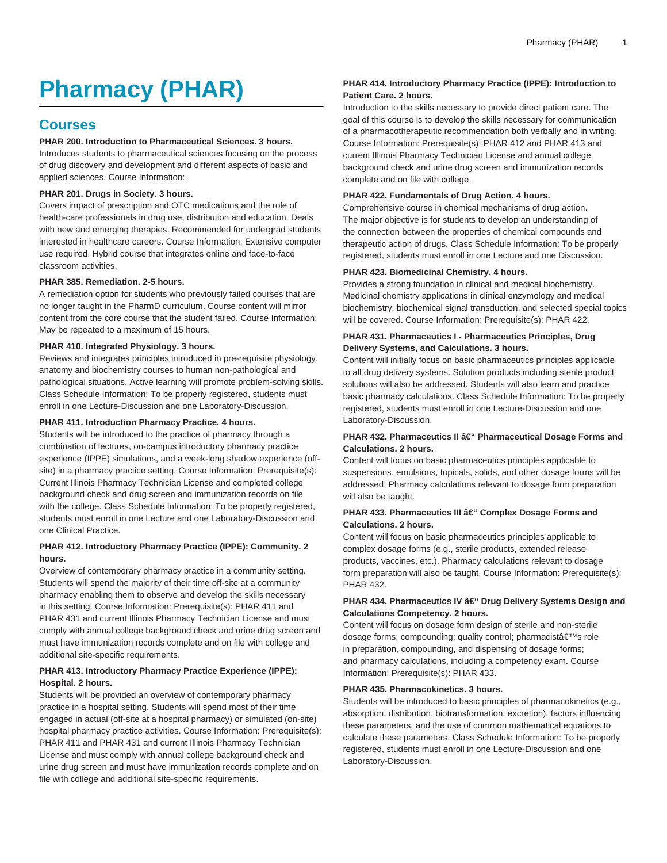# **Pharmacy (PHAR)**

# **Courses**

#### **PHAR 200. Introduction to Pharmaceutical Sciences. 3 hours.**

Introduces students to pharmaceutical sciences focusing on the process of drug discovery and development and different aspects of basic and applied sciences. Course Information:.

#### **PHAR 201. Drugs in Society. 3 hours.**

Covers impact of prescription and OTC medications and the role of health-care professionals in drug use, distribution and education. Deals with new and emerging therapies. Recommended for undergrad students interested in healthcare careers. Course Information: Extensive computer use required. Hybrid course that integrates online and face-to-face classroom activities.

#### **PHAR 385. Remediation. 2-5 hours.**

A remediation option for students who previously failed courses that are no longer taught in the PharmD curriculum. Course content will mirror content from the core course that the student failed. Course Information: May be repeated to a maximum of 15 hours.

# **PHAR 410. Integrated Physiology. 3 hours.**

Reviews and integrates principles introduced in pre-requisite physiology, anatomy and biochemistry courses to human non-pathological and pathological situations. Active learning will promote problem-solving skills. Class Schedule Information: To be properly registered, students must enroll in one Lecture-Discussion and one Laboratory-Discussion.

#### **PHAR 411. Introduction Pharmacy Practice. 4 hours.**

Students will be introduced to the practice of pharmacy through a combination of lectures, on-campus introductory pharmacy practice experience (IPPE) simulations, and a week-long shadow experience (offsite) in a pharmacy practice setting. Course Information: Prerequisite(s): Current Illinois Pharmacy Technician License and completed college background check and drug screen and immunization records on file with the college. Class Schedule Information: To be properly registered, students must enroll in one Lecture and one Laboratory-Discussion and one Clinical Practice.

# **PHAR 412. Introductory Pharmacy Practice (IPPE): Community. 2 hours.**

Overview of contemporary pharmacy practice in a community setting. Students will spend the majority of their time off-site at a community pharmacy enabling them to observe and develop the skills necessary in this setting. Course Information: Prerequisite(s): PHAR 411 and PHAR 431 and current Illinois Pharmacy Technician License and must comply with annual college background check and urine drug screen and must have immunization records complete and on file with college and additional site-specific requirements.

# **PHAR 413. Introductory Pharmacy Practice Experience (IPPE): Hospital. 2 hours.**

Students will be provided an overview of contemporary pharmacy practice in a hospital setting. Students will spend most of their time engaged in actual (off-site at a hospital pharmacy) or simulated (on-site) hospital pharmacy practice activities. Course Information: Prerequisite(s): PHAR 411 and PHAR 431 and current Illinois Pharmacy Technician License and must comply with annual college background check and urine drug screen and must have immunization records complete and on file with college and additional site-specific requirements.

# **PHAR 414. Introductory Pharmacy Practice (IPPE): Introduction to Patient Care. 2 hours.**

Introduction to the skills necessary to provide direct patient care. The goal of this course is to develop the skills necessary for communication of a pharmacotherapeutic recommendation both verbally and in writing. Course Information: Prerequisite(s): PHAR 412 and PHAR 413 and current Illinois Pharmacy Technician License and annual college background check and urine drug screen and immunization records complete and on file with college.

#### **PHAR 422. Fundamentals of Drug Action. 4 hours.**

Comprehensive course in chemical mechanisms of drug action. The major objective is for students to develop an understanding of the connection between the properties of chemical compounds and therapeutic action of drugs. Class Schedule Information: To be properly registered, students must enroll in one Lecture and one Discussion.

#### **PHAR 423. Biomedicinal Chemistry. 4 hours.**

Provides a strong foundation in clinical and medical biochemistry. Medicinal chemistry applications in clinical enzymology and medical biochemistry, biochemical signal transduction, and selected special topics will be covered. Course Information: Prerequisite(s): PHAR 422.

#### **PHAR 431. Pharmaceutics I - Pharmaceutics Principles, Drug Delivery Systems, and Calculations. 3 hours.**

Content will initially focus on basic pharmaceutics principles applicable to all drug delivery systems. Solution products including sterile product solutions will also be addressed. Students will also learn and practice basic pharmacy calculations. Class Schedule Information: To be properly registered, students must enroll in one Lecture-Discussion and one Laboratory-Discussion.

#### **PHAR 432. Pharmaceutics II â€**" Pharmaceutical Dosage Forms and **Calculations. 2 hours.**

Content will focus on basic pharmaceutics principles applicable to suspensions, emulsions, topicals, solids, and other dosage forms will be addressed. Pharmacy calculations relevant to dosage form preparation will also be taught.

#### **PHAR 433. Pharmaceutics III â€**" Complex Dosage Forms and **Calculations. 2 hours.**

Content will focus on basic pharmaceutics principles applicable to complex dosage forms (e.g., sterile products, extended release products, vaccines, etc.). Pharmacy calculations relevant to dosage form preparation will also be taught. Course Information: Prerequisite(s): PHAR 432.

# **PHAR 434. Pharmaceutics IV â€**" Drug Delivery Systems Design and **Calculations Competency. 2 hours.**

Content will focus on dosage form design of sterile and non-sterile dosage forms; compounding; quality control; pharmacist's role in preparation, compounding, and dispensing of dosage forms; and pharmacy calculations, including a competency exam. Course Information: Prerequisite(s): PHAR 433.

# **PHAR 435. Pharmacokinetics. 3 hours.**

Students will be introduced to basic principles of pharmacokinetics (e.g., absorption, distribution, biotransformation, excretion), factors influencing these parameters, and the use of common mathematical equations to calculate these parameters. Class Schedule Information: To be properly registered, students must enroll in one Lecture-Discussion and one Laboratory-Discussion.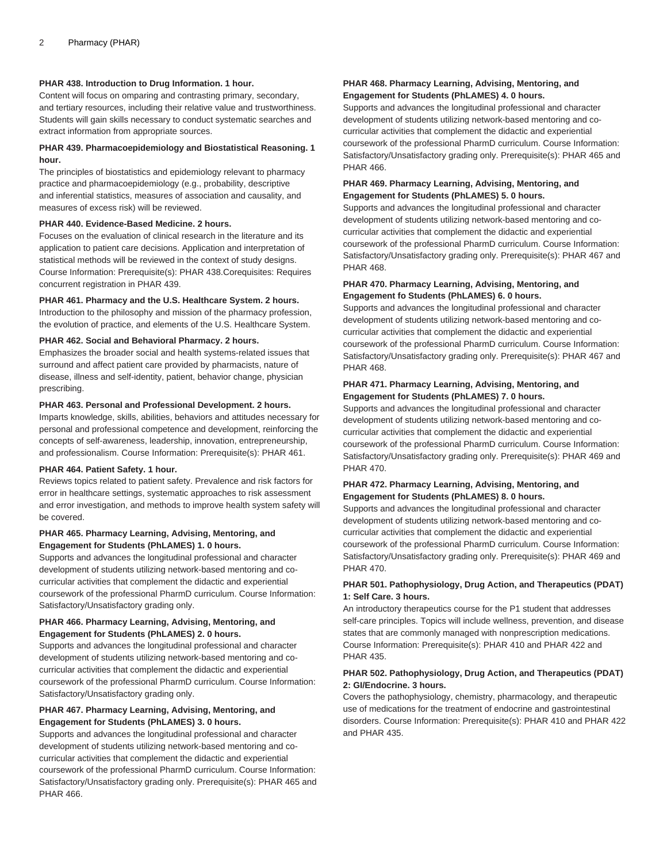# **PHAR 438. Introduction to Drug Information. 1 hour.**

Content will focus on omparing and contrasting primary, secondary, and tertiary resources, including their relative value and trustworthiness. Students will gain skills necessary to conduct systematic searches and extract information from appropriate sources.

#### **PHAR 439. Pharmacoepidemiology and Biostatistical Reasoning. 1 hour.**

The principles of biostatistics and epidemiology relevant to pharmacy practice and pharmacoepidemiology (e.g., probability, descriptive and inferential statistics, measures of association and causality, and measures of excess risk) will be reviewed.

#### **PHAR 440. Evidence-Based Medicine. 2 hours.**

Focuses on the evaluation of clinical research in the literature and its application to patient care decisions. Application and interpretation of statistical methods will be reviewed in the context of study designs. Course Information: Prerequisite(s): PHAR 438.Corequisites: Requires concurrent registration in PHAR 439.

# **PHAR 461. Pharmacy and the U.S. Healthcare System. 2 hours.**

Introduction to the philosophy and mission of the pharmacy profession, the evolution of practice, and elements of the U.S. Healthcare System.

#### **PHAR 462. Social and Behavioral Pharmacy. 2 hours.**

Emphasizes the broader social and health systems-related issues that surround and affect patient care provided by pharmacists, nature of disease, illness and self-identity, patient, behavior change, physician prescribing.

#### **PHAR 463. Personal and Professional Development. 2 hours.**

Imparts knowledge, skills, abilities, behaviors and attitudes necessary for personal and professional competence and development, reinforcing the concepts of self-awareness, leadership, innovation, entrepreneurship, and professionalism. Course Information: Prerequisite(s): PHAR 461.

#### **PHAR 464. Patient Safety. 1 hour.**

Reviews topics related to patient safety. Prevalence and risk factors for error in healthcare settings, systematic approaches to risk assessment and error investigation, and methods to improve health system safety will be covered.

#### **PHAR 465. Pharmacy Learning, Advising, Mentoring, and Engagement for Students (PhLAMES) 1. 0 hours.**

Supports and advances the longitudinal professional and character development of students utilizing network-based mentoring and cocurricular activities that complement the didactic and experiential coursework of the professional PharmD curriculum. Course Information: Satisfactory/Unsatisfactory grading only.

# **PHAR 466. Pharmacy Learning, Advising, Mentoring, and Engagement for Students (PhLAMES) 2. 0 hours.**

Supports and advances the longitudinal professional and character development of students utilizing network-based mentoring and cocurricular activities that complement the didactic and experiential coursework of the professional PharmD curriculum. Course Information: Satisfactory/Unsatisfactory grading only.

# **PHAR 467. Pharmacy Learning, Advising, Mentoring, and Engagement for Students (PhLAMES) 3. 0 hours.**

Supports and advances the longitudinal professional and character development of students utilizing network-based mentoring and cocurricular activities that complement the didactic and experiential coursework of the professional PharmD curriculum. Course Information: Satisfactory/Unsatisfactory grading only. Prerequisite(s): PHAR 465 and PHAR 466.

#### **PHAR 468. Pharmacy Learning, Advising, Mentoring, and Engagement for Students (PhLAMES) 4. 0 hours.**

Supports and advances the longitudinal professional and character development of students utilizing network-based mentoring and cocurricular activities that complement the didactic and experiential coursework of the professional PharmD curriculum. Course Information: Satisfactory/Unsatisfactory grading only. Prerequisite(s): PHAR 465 and PHAR 466.

# **PHAR 469. Pharmacy Learning, Advising, Mentoring, and Engagement for Students (PhLAMES) 5. 0 hours.**

Supports and advances the longitudinal professional and character development of students utilizing network-based mentoring and cocurricular activities that complement the didactic and experiential coursework of the professional PharmD curriculum. Course Information: Satisfactory/Unsatisfactory grading only. Prerequisite(s): PHAR 467 and PHAR 468.

#### **PHAR 470. Pharmacy Learning, Advising, Mentoring, and Engagement fo Students (PhLAMES) 6. 0 hours.**

Supports and advances the longitudinal professional and character development of students utilizing network-based mentoring and cocurricular activities that complement the didactic and experiential coursework of the professional PharmD curriculum. Course Information: Satisfactory/Unsatisfactory grading only. Prerequisite(s): PHAR 467 and PHAR 468.

# **PHAR 471. Pharmacy Learning, Advising, Mentoring, and Engagement for Students (PhLAMES) 7. 0 hours.**

Supports and advances the longitudinal professional and character development of students utilizing network-based mentoring and cocurricular activities that complement the didactic and experiential coursework of the professional PharmD curriculum. Course Information: Satisfactory/Unsatisfactory grading only. Prerequisite(s): PHAR 469 and PHAR 470.

#### **PHAR 472. Pharmacy Learning, Advising, Mentoring, and Engagement for Students (PhLAMES) 8. 0 hours.**

Supports and advances the longitudinal professional and character development of students utilizing network-based mentoring and cocurricular activities that complement the didactic and experiential coursework of the professional PharmD curriculum. Course Information: Satisfactory/Unsatisfactory grading only. Prerequisite(s): PHAR 469 and PHAR 470.

# **PHAR 501. Pathophysiology, Drug Action, and Therapeutics (PDAT) 1: Self Care. 3 hours.**

An introductory therapeutics course for the P1 student that addresses self-care principles. Topics will include wellness, prevention, and disease states that are commonly managed with nonprescription medications. Course Information: Prerequisite(s): PHAR 410 and PHAR 422 and PHAR 435.

# **PHAR 502. Pathophysiology, Drug Action, and Therapeutics (PDAT) 2: GI/Endocrine. 3 hours.**

Covers the pathophysiology, chemistry, pharmacology, and therapeutic use of medications for the treatment of endocrine and gastrointestinal disorders. Course Information: Prerequisite(s): PHAR 410 and PHAR 422 and PHAR 435.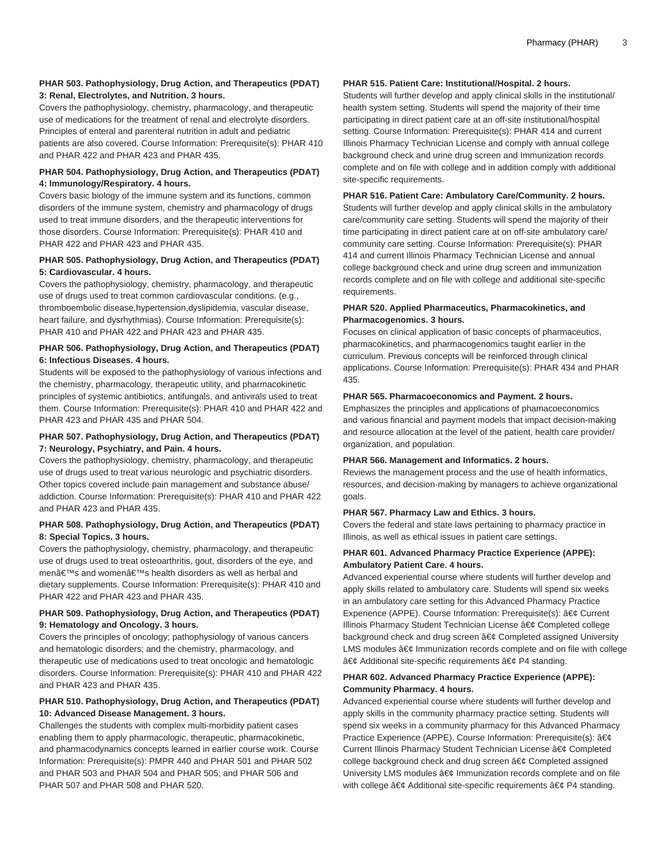# **PHAR 503. Pathophysiology, Drug Action, and Therapeutics (PDAT) 3: Renal, Electrolytes, and Nutrition. 3 hours.**

Covers the pathophysiology, chemistry, pharmacology, and therapeutic use of medications for the treatment of renal and electrolyte disorders. Principles of enteral and parenteral nutrition in adult and pediatric patients are also covered. Course Information: Prerequisite(s): PHAR 410 and PHAR 422 and PHAR 423 and PHAR 435.

# **PHAR 504. Pathophysiology, Drug Action, and Therapeutics (PDAT) 4: Immunology/Respiratory. 4 hours.**

Covers basic biology of the immune system and its functions, common disorders of the immune system, chemistry and pharmacology of drugs used to treat immune disorders, and the therapeutic interventions for those disorders. Course Information: Prerequisite(s): PHAR 410 and PHAR 422 and PHAR 423 and PHAR 435.

# **PHAR 505. Pathophysiology, Drug Action, and Therapeutics (PDAT) 5: Cardiovascular. 4 hours.**

Covers the pathophysiology, chemistry, pharmacology, and therapeutic use of drugs used to treat common cardiovascular conditions. (e.g., thromboembolic disease,hypertension,dyslipidemia, vascular disease, heart failure, and dysrhythmias). Course Information: Prerequisite(s): PHAR 410 and PHAR 422 and PHAR 423 and PHAR 435.

# **PHAR 506. Pathophysiology, Drug Action, and Therapeutics (PDAT) 6: Infectious Diseases. 4 hours.**

Students will be exposed to the pathophysiology of various infections and the chemistry, pharmacology, therapeutic utility, and pharmacokinetic principles of systemic antibiotics, antifungals, and antivirals used to treat them. Course Information: Prerequisite(s): PHAR 410 and PHAR 422 and PHAR 423 and PHAR 435 and PHAR 504.

# **PHAR 507. Pathophysiology, Drug Action, and Therapeutics (PDAT) 7: Neurology, Psychiatry, and Pain. 4 hours.**

Covers the pathophysiology, chemistry, pharmacology, and therapeutic use of drugs used to treat various neurologic and psychiatric disorders. Other topics covered include pain management and substance abuse/ addiction. Course Information: Prerequisite(s): PHAR 410 and PHAR 422 and PHAR 423 and PHAR 435.

# **PHAR 508. Pathophysiology, Drug Action, and Therapeutics (PDAT) 8: Special Topics. 3 hours.**

Covers the pathophysiology, chemistry, pharmacology, and therapeutic use of drugs used to treat osteoarthritis, gout, disorders of the eye, and men's and women's health disorders as well as herbal and dietary supplements. Course Information: Prerequisite(s): PHAR 410 and PHAR 422 and PHAR 423 and PHAR 435.

# **PHAR 509. Pathophysiology, Drug Action, and Therapeutics (PDAT) 9: Hematology and Oncology. 3 hours.**

Covers the principles of oncology; pathophysiology of various cancers and hematologic disorders; and the chemistry, pharmacology, and therapeutic use of medications used to treat oncologic and hematologic disorders. Course Information: Prerequisite(s): PHAR 410 and PHAR 422 and PHAR 423 and PHAR 435.

# **PHAR 510. Pathophysiology, Drug Action, and Therapeutics (PDAT) 10: Advanced Disease Management. 3 hours.**

Challenges the students with complex multi-morbidity patient cases enabling them to apply pharmacologic, therapeutic, pharmacokinetic, and pharmacodynamics concepts learned in earlier course work. Course Information: Prerequisite(s): PMPR 440 and PHAR 501 and PHAR 502 and PHAR 503 and PHAR 504 and PHAR 505; and PHAR 506 and PHAR 507 and PHAR 508 and PHAR 520.

#### **PHAR 515. Patient Care: Institutional/Hospital. 2 hours.**

Students will further develop and apply clinical skills in the institutional/ health system setting. Students will spend the majority of their time participating in direct patient care at an off-site institutional/hospital setting. Course Information: Prerequisite(s): PHAR 414 and current Illinois Pharmacy Technician License and comply with annual college background check and urine drug screen and Immunization records complete and on file with college and in addition comply with additional site-specific requirements.

#### **PHAR 516. Patient Care: Ambulatory Care/Community. 2 hours.**

Students will further develop and apply clinical skills in the ambulatory care/community care setting. Students will spend the majority of their time participating in direct patient care at on off-site ambulatory care/ community care setting. Course Information: Prerequisite(s): PHAR 414 and current Illinois Pharmacy Technician License and annual college background check and urine drug screen and immunization records complete and on file with college and additional site-specific requirements.

#### **PHAR 520. Applied Pharmaceutics, Pharmacokinetics, and Pharmacogenomics. 3 hours.**

Focuses on clinical application of basic concepts of pharmaceutics, pharmacokinetics, and pharmacogenomics taught earlier in the curriculum. Previous concepts will be reinforced through clinical applications. Course Information: Prerequisite(s): PHAR 434 and PHAR 435.

#### **PHAR 565. Pharmacoeconomics and Payment. 2 hours.**

Emphasizes the principles and applications of phamacoeconomics and various financial and payment models that impact decision-making and resource allocation at the level of the patient, health care provider/ organization, and population.

#### **PHAR 566. Management and Informatics. 2 hours.**

Reviews the management process and the use of health informatics, resources, and decision-making by managers to achieve organizational goals.

#### **PHAR 567. Pharmacy Law and Ethics. 3 hours.**

Covers the federal and state laws pertaining to pharmacy practice in Illinois, as well as ethical issues in patient care settings.

# **PHAR 601. Advanced Pharmacy Practice Experience (APPE): Ambulatory Patient Care. 4 hours.**

Advanced experiential course where students will further develop and apply skills related to ambulatory care. Students will spend six weeks in an ambulatory care setting for this Advanced Pharmacy Practice Experience (APPE). Course Information: Prerequisite(s): • Current Illinois Pharmacy Student Technician License • Completed college background check and drug screen • Completed assigned University LMS modules  $\hat{a} \in \emptyset$  Immunization records complete and on file with college  $\hat{a}\in\mathcal{C}$  Additional site-specific requirements  $\hat{a}\in\mathcal{C}$  P4 standing.

#### **PHAR 602. Advanced Pharmacy Practice Experience (APPE): Community Pharmacy. 4 hours.**

Advanced experiential course where students will further develop and apply skills in the community pharmacy practice setting. Students will spend six weeks in a community pharmacy for this Advanced Pharmacy Practice Experience (APPE). Course Information: Prerequisite(s): • Current Illinois Pharmacy Student Technician License • Completed college background check and drug screen  $\hat{a} \in \mathfrak{C}$  Completed assigned University LMS modules • Immunization records complete and on file with college  $\hat{a} \in \mathcal{C}$  Additional site-specific requirements  $\hat{a} \in \mathcal{C}$  P4 standing.